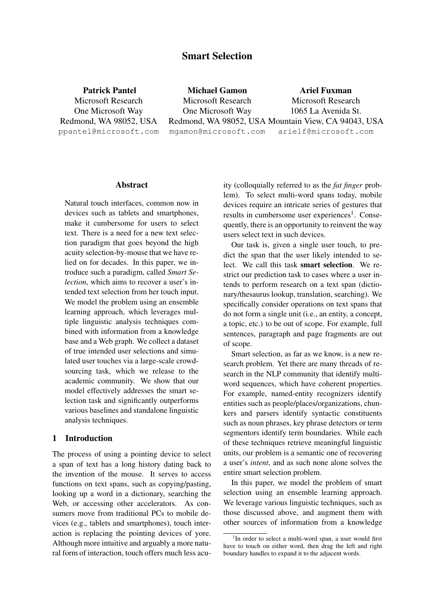# Smart Selection

Patrick Pantel Microsoft Research One Microsoft Way Redmond, WA 98052, USA ppantel@microsoft.com

Michael Gamon Microsoft Research One Microsoft Way Redmond, WA 98052, USA Mountain View, CA 94043, USA mgamon@microsoft.com Ariel Fuxman Microsoft Research 1065 La Avenida St. arielf@microsoft.com

#### **Abstract**

Natural touch interfaces, common now in devices such as tablets and smartphones, make it cumbersome for users to select text. There is a need for a new text selection paradigm that goes beyond the high acuity selection-by-mouse that we have relied on for decades. In this paper, we introduce such a paradigm, called *Smart Selection*, which aims to recover a user's intended text selection from her touch input. We model the problem using an ensemble learning approach, which leverages multiple linguistic analysis techniques combined with information from a knowledge base and a Web graph. We collect a dataset of true intended user selections and simulated user touches via a large-scale crowdsourcing task, which we release to the academic community. We show that our model effectively addresses the smart selection task and significantly outperforms various baselines and standalone linguistic analysis techniques.

## 1 Introduction

The process of using a pointing device to select a span of text has a long history dating back to the invention of the mouse. It serves to access functions on text spans, such as copying/pasting, looking up a word in a dictionary, searching the Web, or accessing other accelerators. As consumers move from traditional PCs to mobile devices (e.g., tablets and smartphones), touch interaction is replacing the pointing devices of yore. Although more intuitive and arguably a more natural form of interaction, touch offers much less acuity (colloquially referred to as the *fat finger* problem). To select multi-word spans today, mobile devices require an intricate series of gestures that results in cumbersome user experiences<sup>1</sup>. Consequently, there is an opportunity to reinvent the way users select text in such devices.

Our task is, given a single user touch, to predict the span that the user likely intended to select. We call this task smart selection. We restrict our prediction task to cases where a user intends to perform research on a text span (dictionary/thesaurus lookup, translation, searching). We specifically consider operations on text spans that do not form a single unit (i.e., an entity, a concept, a topic, etc.) to be out of scope. For example, full sentences, paragraph and page fragments are out of scope.

Smart selection, as far as we know, is a new research problem. Yet there are many threads of research in the NLP community that identify multiword sequences, which have coherent properties. For example, named-entity recognizers identify entities such as people/places/organizations, chunkers and parsers identify syntactic constituents such as noun phrases, key phrase detectors or term segmentors identify term boundaries. While each of these techniques retrieve meaningful linguistic units, our problem is a semantic one of recovering a user's *intent*, and as such none alone solves the entire smart selection problem.

In this paper, we model the problem of smart selection using an ensemble learning approach. We leverage various linguistic techniques, such as those discussed above, and augment them with other sources of information from a knowledge

<sup>&</sup>lt;sup>1</sup>In order to select a multi-word span, a user would first have to touch on either word, then drag the left and right boundary handles to expand it to the adjacent words.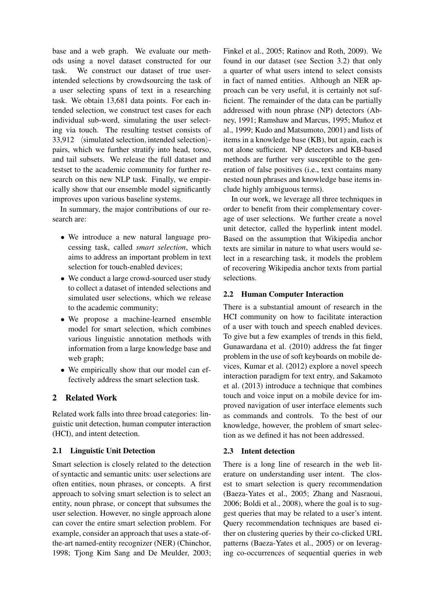base and a web graph. We evaluate our methods using a novel dataset constructed for our task. We construct our dataset of true userintended selections by crowdsourcing the task of a user selecting spans of text in a researching task. We obtain 13,681 data points. For each intended selection, we construct test cases for each individual sub-word, simulating the user selecting via touch. The resulting testset consists of 33,912  $\langle$  simulated selection, intended selection $\rangle$ pairs, which we further stratify into head, torso, and tail subsets. We release the full dataset and testset to the academic community for further research on this new NLP task. Finally, we empirically show that our ensemble model significantly improves upon various baseline systems.

In summary, the major contributions of our research are:

- We introduce a new natural language processing task, called *smart selection*, which aims to address an important problem in text selection for touch-enabled devices;
- We conduct a large crowd-sourced user study to collect a dataset of intended selections and simulated user selections, which we release to the academic community;
- We propose a machine-learned ensemble model for smart selection, which combines various linguistic annotation methods with information from a large knowledge base and web graph;
- We empirically show that our model can effectively address the smart selection task.

## 2 Related Work

Related work falls into three broad categories: linguistic unit detection, human computer interaction (HCI), and intent detection.

## 2.1 Linguistic Unit Detection

Smart selection is closely related to the detection of syntactic and semantic units: user selections are often entities, noun phrases, or concepts. A first approach to solving smart selection is to select an entity, noun phrase, or concept that subsumes the user selection. However, no single approach alone can cover the entire smart selection problem. For example, consider an approach that uses a state-ofthe-art named-entity recognizer (NER) (Chinchor, 1998; Tjong Kim Sang and De Meulder, 2003;

Finkel et al., 2005; Ratinov and Roth, 2009). We found in our dataset (see Section 3.2) that only a quarter of what users intend to select consists in fact of named entities. Although an NER approach can be very useful, it is certainly not sufficient. The remainder of the data can be partially addressed with noun phrase (NP) detectors (Abney, 1991; Ramshaw and Marcus, 1995; Muñoz et al., 1999; Kudo and Matsumoto, 2001) and lists of items in a knowledge base (KB), but again, each is not alone sufficient. NP detectors and KB-based methods are further very susceptible to the generation of false positives (i.e., text contains many nested noun phrases and knowledge base items include highly ambiguous terms).

In our work, we leverage all three techniques in order to benefit from their complementary coverage of user selections. We further create a novel unit detector, called the hyperlink intent model. Based on the assumption that Wikipedia anchor texts are similar in nature to what users would select in a researching task, it models the problem of recovering Wikipedia anchor texts from partial selections.

## 2.2 Human Computer Interaction

There is a substantial amount of research in the HCI community on how to facilitate interaction of a user with touch and speech enabled devices. To give but a few examples of trends in this field, Gunawardana et al. (2010) address the fat finger problem in the use of soft keyboards on mobile devices, Kumar et al. (2012) explore a novel speech interaction paradigm for text entry, and Sakamoto et al. (2013) introduce a technique that combines touch and voice input on a mobile device for improved navigation of user interface elements such as commands and controls. To the best of our knowledge, however, the problem of smart selection as we defined it has not been addressed.

## 2.3 Intent detection

There is a long line of research in the web literature on understanding user intent. The closest to smart selection is query recommendation (Baeza-Yates et al., 2005; Zhang and Nasraoui, 2006; Boldi et al., 2008), where the goal is to suggest queries that may be related to a user's intent. Query recommendation techniques are based either on clustering queries by their co-clicked URL patterns (Baeza-Yates et al., 2005) or on leveraging co-occurrences of sequential queries in web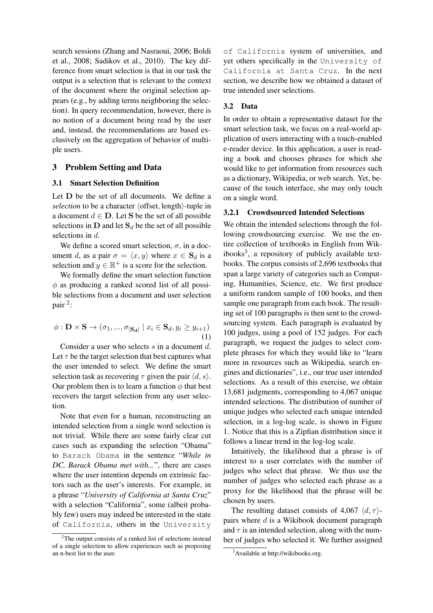search sessions (Zhang and Nasraoui, 2006; Boldi et al., 2008; Sadikov et al., 2010). The key difference from smart selection is that in our task the output is a selection that is relevant to the context of the document where the original selection appears (e.g., by adding terms neighboring the selection). In query recommendation, however, there is no notion of a document being read by the user and, instead, the recommendations are based exclusively on the aggregation of behavior of multiple users.

## 3 Problem Setting and Data

## 3.1 Smart Selection Definition

Let **D** be the set of all documents. We define a *selection* to be a character  $\langle$  offset, length $\rangle$ -tuple in a document  $d \in D$ . Let S be the set of all possible selections in  $D$  and let  $S_d$  be the set of all possible selections in d.

We define a scored smart selection,  $\sigma$ , in a document d, as a pair  $\sigma = \langle x, y \rangle$  where  $x \in S_d$  is a selection and  $y \in \mathbb{R}^+$  is a score for the selection.

We formally define the smart selection function  $\phi$  as producing a ranked scored list of all possible selections from a document and user selection pair<sup>2</sup>:

$$
\phi : \mathbf{D} \times \mathbf{S} \to (\sigma_1, ..., \sigma_{|\mathbf{S_d}|} \mid x_i \in \mathbf{S}_d, y_i \ge y_{i+1})
$$
\n(1)

Consider a user who selects s in a document d. Let  $\tau$  be the target selection that best captures what the user intended to select. We define the smart selection task as recovering  $\tau$  given the pair  $\langle d, s \rangle$ . Our problem then is to learn a function  $\phi$  that best recovers the target selection from any user selection.

Note that even for a human, reconstructing an intended selection from a single word selection is not trivial. While there are some fairly clear cut cases such as expanding the selection "Obama" to Barack Obama in the sentence "*While in DC, Barack Obama met with...*", there are cases where the user intention depends on extrinsic factors such as the user's interests. For example, in a phrase "*University of California at Santa Cruz*" with a selection "California", some (albeit probably few) users may indeed be interested in the state of California, others in the University

of California system of universities, and yet others specifically in the University of California at Santa Cruz. In the next section, we describe how we obtained a dataset of true intended user selections.

## 3.2 Data

In order to obtain a representative dataset for the smart selection task, we focus on a real-world application of users interacting with a touch-enabled e-reader device. In this application, a user is reading a book and chooses phrases for which she would like to get information from resources such as a dictionary, Wikipedia, or web search. Yet, because of the touch interface, she may only touch on a single word.

## 3.2.1 Crowdsourced Intended Selections

We obtain the intended selections through the following crowdsourcing exercise. We use the entire collection of textbooks in English from Wikibooks<sup>3</sup>, a repository of publicly available textbooks. The corpus consists of 2,696 textbooks that span a large variety of categories such as Computing, Humanities, Science, etc. We first produce a uniform random sample of 100 books, and then sample one paragraph from each book. The resulting set of 100 paragraphs is then sent to the crowdsourcing system. Each paragraph is evaluated by 100 judges, using a pool of 152 judges. For each paragraph, we request the judges to select complete phrases for which they would like to "learn more in resources such as Wikipedia, search engines and dictionaries", i.e., our true user intended selections. As a result of this exercise, we obtain 13,681 judgments, corresponding to 4,067 unique intended selections. The distribution of number of unique judges who selected each unique intended selection, in a log-log scale, is shown in Figure 1. Notice that this is a Zipfian distribution since it follows a linear trend in the log-log scale.

Intuitively, the likelihood that a phrase is of interest to a user correlates with the number of judges who select that phrase. We thus use the number of judges who selected each phrase as a proxy for the likelihood that the phrase will be chosen by users.

The resulting dataset consists of 4,067  $\langle d, \tau \rangle$ pairs where  $d$  is a Wikibook document paragraph and  $\tau$  is an intended selection, along with the number of judges who selected it. We further assigned

<sup>2</sup>The output consists of a ranked list of selections instead of a single selection to allow experiences such as proposing an n-best list to the user.

<sup>&</sup>lt;sup>3</sup>Available at http://wikibooks.org.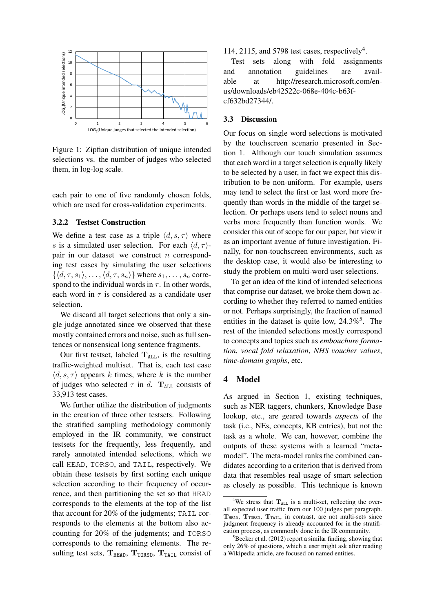

Figure 1: Zipfian distribution of unique intended selections vs. the number of judges who selected them, in log-log scale.

each pair to one of five randomly chosen folds, which are used for cross-validation experiments.

## 3.2.2 Testset Construction

We define a test case as a triple  $\langle d, s, \tau \rangle$  where s is a simulated user selection. For each  $\langle d, \tau \rangle$ pair in our dataset we construct  $n$  corresponding test cases by simulating the user selections  $\{\langle d, \tau, s_1 \rangle, \ldots, \langle d, \tau, s_n \rangle\}$  where  $s_1, \ldots, s_n$  correspond to the individual words in  $\tau$ . In other words, each word in  $\tau$  is considered as a candidate user selection.

We discard all target selections that only a single judge annotated since we observed that these mostly contained errors and noise, such as full sentences or nonsensical long sentence fragments.

Our first testset, labeled  $T_{ALL}$ , is the resulting traffic-weighted multiset. That is, each test case  $\langle d, s, \tau \rangle$  appears k times, where k is the number of judges who selected  $\tau$  in d.  $\mathbf{T}_{ALL}$  consists of 33,913 test cases.

We further utilize the distribution of judgments in the creation of three other testsets. Following the stratified sampling methodology commonly employed in the IR community, we construct testsets for the frequently, less frequently, and rarely annotated intended selections, which we call HEAD, TORSO, and TAIL, respectively. We obtain these testsets by first sorting each unique selection according to their frequency of occurrence, and then partitioning the set so that HEAD corresponds to the elements at the top of the list that account for 20% of the judgments; TAIL corresponds to the elements at the bottom also accounting for 20% of the judgments; and TORSO corresponds to the remaining elements. The resulting test sets,  $T_{HEAD}$ ,  $T_{TORS0}$ ,  $T_{TAIL}$  consist of

## 114, 2115, and 5798 test cases, respectively<sup>4</sup>.

Test sets along with fold assignments and annotation guidelines are available at http://research.microsoft.com/enus/downloads/eb42522c-068e-404c-b63fcf632bd27344/.

## 3.3 Discussion

Our focus on single word selections is motivated by the touchscreen scenario presented in Section 1. Although our touch simulation assumes that each word in a target selection is equally likely to be selected by a user, in fact we expect this distribution to be non-uniform. For example, users may tend to select the first or last word more frequently than words in the middle of the target selection. Or perhaps users tend to select nouns and verbs more frequently than function words. We consider this out of scope for our paper, but view it as an important avenue of future investigation. Finally, for non-touchscreen environments, such as the desktop case, it would also be interesting to study the problem on multi-word user selections.

To get an idea of the kind of intended selections that comprise our dataset, we broke them down according to whether they referred to named entities or not. Perhaps surprisingly, the fraction of named entities in the dataset is quite low,  $24.3\%$ <sup>5</sup>. The rest of the intended selections mostly correspond to concepts and topics such as *embouchure formation*, *vocal fold relaxation*, *NHS voucher values*, *time-domain graphs*, etc.

#### 4 Model

As argued in Section 1, existing techniques, such as NER taggers, chunkers, Knowledge Base lookup, etc., are geared towards *aspects* of the task (i.e., NEs, concepts, KB entries), but not the task as a whole. We can, however, combine the outputs of these systems with a learned "metamodel". The meta-model ranks the combined candidates according to a criterion that is derived from data that resembles real usage of smart selection as closely as possible. This technique is known

<sup>&</sup>lt;sup>4</sup>We stress that  $T_{ALL}$  is a multi-set, reflecting the overall expected user traffic from our 100 judges per paragraph.  $T<sub>HEAD</sub>$ ,  $T<sub>TORSO</sub>$ ,  $T<sub>TAIL</sub>$ , in contrast, are not multi-sets since judgment frequency is already accounted for in the stratification process, as commonly done in the IR community.

 ${}^{5}$ Becker et al. (2012) report a similar finding, showing that only 26% of questions, which a user might ask after reading a Wikipedia article, are focused on named entities.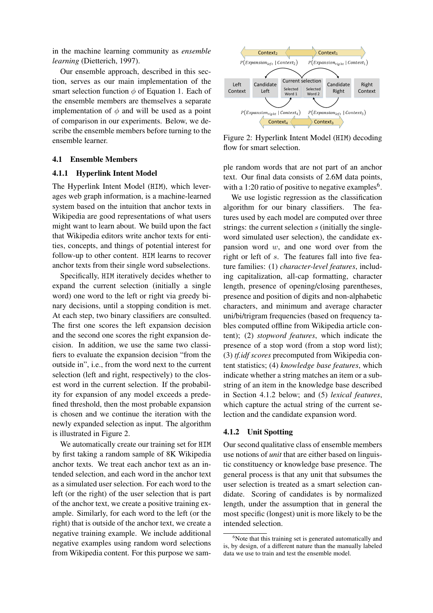in the machine learning community as *ensemble learning* (Dietterich, 1997).

Our ensemble approach, described in this section, serves as our main implementation of the smart selection function  $\phi$  of Equation 1. Each of the ensemble members are themselves a separate implementation of  $\phi$  and will be used as a point of comparison in our experiments. Below, we describe the ensemble members before turning to the ensemble learner.

#### 4.1 Ensemble Members

#### 4.1.1 Hyperlink Intent Model

The Hyperlink Intent Model (HIM), which leverages web graph information, is a machine-learned system based on the intuition that anchor texts in Wikipedia are good representations of what users might want to learn about. We build upon the fact that Wikipedia editors write anchor texts for entities, concepts, and things of potential interest for follow-up to other content. HIM learns to recover anchor texts from their single word subselections.

Specifically, HIM iteratively decides whether to expand the current selection (initially a single word) one word to the left or right via greedy binary decisions, until a stopping condition is met. At each step, two binary classifiers are consulted. The first one scores the left expansion decision and the second one scores the right expansion decision. In addition, we use the same two classifiers to evaluate the expansion decision "from the outside in", i.e., from the word next to the current selection (left and right, respectively) to the closest word in the current selection. If the probability for expansion of any model exceeds a predefined threshold, then the most probable expansion is chosen and we continue the iteration with the newly expanded selection as input. The algorithm is illustrated in Figure 2.

We automatically create our training set for HIM by first taking a random sample of 8K Wikipedia anchor texts. We treat each anchor text as an intended selection, and each word in the anchor text as a simulated user selection. For each word to the left (or the right) of the user selection that is part of the anchor text, we create a positive training example. Similarly, for each word to the left (or the right) that is outside of the anchor text, we create a negative training example. We include additional negative examples using random word selections from Wikipedia content. For this purpose we sam-



Figure 2: Hyperlink Intent Model (HIM) decoding flow for smart selection.

ple random words that are not part of an anchor text. Our final data consists of 2.6M data points, with a 1:20 ratio of positive to negative examples<sup>6</sup>.

We use logistic regression as the classification algorithm for our binary classifiers. The features used by each model are computed over three strings: the current selection  $s$  (initially the singleword simulated user selection), the candidate expansion word  $w$ , and one word over from the right or left of s. The features fall into five feature families: (1) *character-level features*, including capitalization, all-cap formatting, character length, presence of opening/closing parentheses, presence and position of digits and non-alphabetic characters, and minimum and average character uni/bi/trigram frequencies (based on frequency tables computed offline from Wikipedia article content); (2) *stopword features*, which indicate the presence of a stop word (from a stop word list); (3) *tf.idf scores* precomputed from Wikipedia content statistics; (4) *knowledge base features*, which indicate whether a string matches an item or a substring of an item in the knowledge base described in Section 4.1.2 below; and (5) *lexical features*, which capture the actual string of the current selection and the candidate expansion word.

#### 4.1.2 Unit Spotting

Our second qualitative class of ensemble members use notions of *unit* that are either based on linguistic constituency or knowledge base presence. The general process is that any unit that subsumes the user selection is treated as a smart selection candidate. Scoring of candidates is by normalized length, under the assumption that in general the most specific (longest) unit is more likely to be the intended selection.

 $6$ Note that this training set is generated automatically and is, by design, of a different nature than the manually labeled data we use to train and test the ensemble model.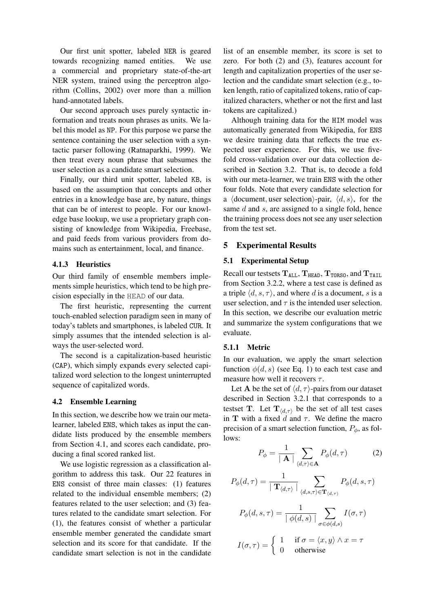Our first unit spotter, labeled NER is geared towards recognizing named entities. We use a commercial and proprietary state-of-the-art NER system, trained using the perceptron algorithm (Collins, 2002) over more than a million hand-annotated labels.

Our second approach uses purely syntactic information and treats noun phrases as units. We label this model as NP. For this purpose we parse the sentence containing the user selection with a syntactic parser following (Ratnaparkhi, 1999). We then treat every noun phrase that subsumes the user selection as a candidate smart selection.

Finally, our third unit spotter, labeled KB, is based on the assumption that concepts and other entries in a knowledge base are, by nature, things that can be of interest to people. For our knowledge base lookup, we use a proprietary graph consisting of knowledge from Wikipedia, Freebase, and paid feeds from various providers from domains such as entertainment, local, and finance.

## 4.1.3 Heuristics

Our third family of ensemble members implements simple heuristics, which tend to be high precision especially in the HEAD of our data.

The first heuristic, representing the current touch-enabled selection paradigm seen in many of today's tablets and smartphones, is labeled CUR. It simply assumes that the intended selection is always the user-selected word.

The second is a capitalization-based heuristic (CAP), which simply expands every selected capitalized word selection to the longest uninterrupted sequence of capitalized words.

#### 4.2 Ensemble Learning

In this section, we describe how we train our metalearner, labeled ENS, which takes as input the candidate lists produced by the ensemble members from Section 4.1, and scores each candidate, producing a final scored ranked list.

We use logistic regression as a classification algorithm to address this task. Our 22 features in ENS consist of three main classes: (1) features related to the individual ensemble members; (2) features related to the user selection; and (3) features related to the candidate smart selection. For (1), the features consist of whether a particular ensemble member generated the candidate smart selection and its score for that candidate. If the candidate smart selection is not in the candidate

list of an ensemble member, its score is set to zero. For both (2) and (3), features account for length and capitalization properties of the user selection and the candidate smart selection (e.g., token length, ratio of capitalized tokens, ratio of capitalized characters, whether or not the first and last tokens are capitalized.)

Although training data for the HIM model was automatically generated from Wikipedia, for ENS we desire training data that reflects the true expected user experience. For this, we use fivefold cross-validation over our data collection described in Section 3.2. That is, to decode a fold with our meta-learner, we train ENS with the other four folds. Note that every candidate selection for a  $\langle$  document, user selection $\rangle$ -pair,  $\langle d, s \rangle$ , for the same  $d$  and  $s$ , are assigned to a single fold, hence the training process does not see any user selection from the test set.

## 5 Experimental Results

## 5.1 Experimental Setup

Recall our testsets  $T_{ALL}$ ,  $T_{HEAD}$ ,  $T_{TORS0}$ , and  $T_{TAIL}$ from Section 3.2.2, where a test case is defined as a triple  $\langle d, s, \tau \rangle$ , and where d is a document, s is a user selection, and  $\tau$  is the intended user selection. In this section, we describe our evaluation metric and summarize the system configurations that we evaluate.

## 5.1.1 Metric

In our evaluation, we apply the smart selection function  $\phi(d, s)$  (see Eq. 1) to each test case and measure how well it recovers  $\tau$ .

Let **A** be the set of  $\langle d, \tau \rangle$ -pairs from our dataset described in Section 3.2.1 that corresponds to a testset T. Let  $T_{\langle d,\tau\rangle}$  be the set of all test cases in T with a fixed d and  $\tau$ . We define the macro precision of a smart selection function,  $P_{\phi}$ , as follows:

$$
P_{\phi} = \frac{1}{|\mathbf{A}|} \sum_{\langle d,\tau \rangle \in \mathbf{A}} P_{\phi}(d,\tau) \tag{2}
$$

$$
P_{\phi}(d,\tau) = \frac{1}{\mid \mathbf{T}_{\langle d,\tau \rangle} \mid} \sum_{\langle d,s,\tau \rangle \in \mathbf{T}_{\langle d,\tau \rangle}} P_{\phi}(d,s,\tau)
$$

$$
P_{\phi}(d, s, \tau) = \frac{1}{|\phi(d, s)|} \sum_{\sigma \in \phi(d, s)} I(\sigma, \tau)
$$

$$
I(\sigma, \tau) = \begin{cases} 1 & \text{if } \sigma = \langle x, y \rangle \wedge x = \tau \\ 0 & \text{otherwise} \end{cases}
$$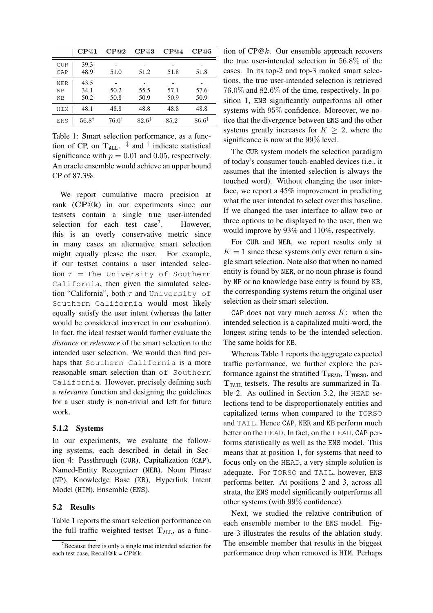|                        | CP@1                 | CP@2              | CP@3              | CP@4              | CP@5              |
|------------------------|----------------------|-------------------|-------------------|-------------------|-------------------|
| <b>CUR</b><br>CAP      | 39.3<br>48.9         | 51.0              | 51.2              | 51.8              | 51.8              |
| <b>NER</b><br>NP<br>KB | 43.5<br>34.1<br>50.2 | 50.2<br>50.8      | 55.5<br>50.9      | 57.1<br>50.9      | 57.6<br>50.9      |
| <b>HTM</b>             | 48.1                 | 48.8              | 48.8              | 48.8              | 48.8              |
| <b>ENS</b>             | $56.8^{\dagger}$     | $76.0^{\ddagger}$ | $82.6^{\ddagger}$ | $85.2^{\ddagger}$ | $86.6^{\ddagger}$ |

Table 1: Smart selection performance, as a function of CP, on  $T_{ALL}$ .  $\frac{1}{4}$  and  $\frac{1}{4}$  indicate statistical significance with  $p = 0.01$  and 0.05, respectively. An oracle ensemble would achieve an upper bound CP of 87.3%.

We report cumulative macro precision at rank (CP@k) in our experiments since our testsets contain a single true user-intended selection for each test  $case<sup>7</sup>$ . . However, this is an overly conservative metric since in many cases an alternative smart selection might equally please the user. For example, if our testset contains a user intended selection  $\tau$  = The University of Southern California, then given the simulated selection "California", both  $\tau$  and University of Southern California would most likely equally satisfy the user intent (whereas the latter would be considered incorrect in our evaluation). In fact, the ideal testset would further evaluate the *distance* or *relevance* of the smart selection to the intended user selection. We would then find perhaps that Southern California is a more reasonable smart selection than of Southern California. However, precisely defining such a *relevance* function and designing the guidelines for a user study is non-trivial and left for future work.

#### 5.1.2 Systems

In our experiments, we evaluate the following systems, each described in detail in Section 4: Passthrough (CUR), Capitalization (CAP), Named-Entity Recognizer (NER), Noun Phrase (NP), Knowledge Base (KB), Hyperlink Intent Model (HIM), Ensemble (ENS).

### 5.2 Results

Table 1 reports the smart selection performance on the full traffic weighted testset  $T_{ALL}$ , as a func-

tion of CP@k. Our ensemble approach recovers the true user-intended selection in 56.8% of the cases. In its top-2 and top-3 ranked smart selections, the true user-intended selection is retrieved 76.0% and 82.6% of the time, respectively. In position 1, ENS significantly outperforms all other systems with 95% confidence. Moreover, we notice that the divergence between ENS and the other systems greatly increases for  $K \geq 2$ , where the significance is now at the 99% level.

The CUR system models the selection paradigm of today's consumer touch-enabled devices (i.e., it assumes that the intented selection is always the touched word). Without changing the user interface, we report a 45% improvement in predicting what the user intended to select over this baseline. If we changed the user interface to allow two or three options to be displayed to the user, then we would improve by 93% and 110%, respectively.

For CUR and NER, we report results only at  $K = 1$  since these systems only ever return a single smart selection. Note also that when no named entity is found by NER, or no noun phrase is found by NP or no knowledge base entry is found by KB, the corresponding systems return the original user selection as their smart selection.

CAP does not vary much across  $K$ : when the intended selection is a capitalized multi-word, the longest string tends to be the intended selection. The same holds for KB.

Whereas Table 1 reports the aggregate expected traffic performance, we further explore the performance against the stratified  $T_{HEAD}$ ,  $T_{TORSO}$ , and  $T_{\text{TAIL}}$  testsets. The results are summarized in Table 2. As outlined in Section 3.2, the HEAD selections tend to be disproportionately entities and capitalized terms when compared to the TORSO and TAIL. Hence CAP, NER and KB perform much better on the HEAD. In fact, on the HEAD, CAP performs statistically as well as the ENS model. This means that at position 1, for systems that need to focus only on the HEAD, a very simple solution is adequate. For TORSO and TAIL, however, ENS performs better. At positions 2 and 3, across all strata, the ENS model significantly outperforms all other systems (with 99% confidence).

Next, we studied the relative contribution of each ensemble member to the ENS model. Figure 3 illustrates the results of the ablation study. The ensemble member that results in the biggest performance drop when removed is HIM. Perhaps

 $7B$  Because there is only a single true intended selection for each test case, Recall@k =  $CP@k$ .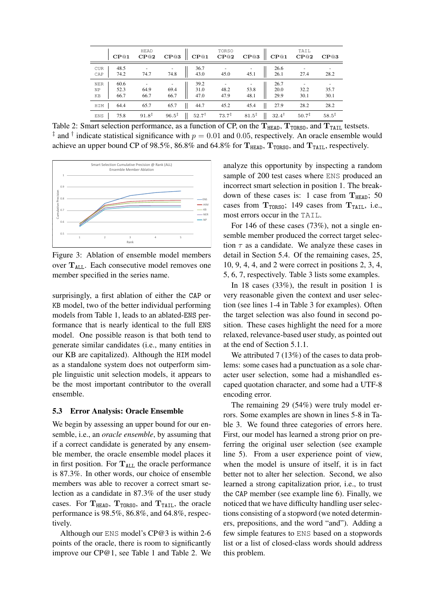|                        | CP@1                 | HEAD<br>CP@2      | $\mathbf{C}\mathbf{P}@\mathbf{1}$<br>CP@3                                                | TORSO<br>CP@2     | CP@1<br>CP@3                                          | TAIL<br>CP@2      | CP@3              |
|------------------------|----------------------|-------------------|------------------------------------------------------------------------------------------|-------------------|-------------------------------------------------------|-------------------|-------------------|
| <b>CUR</b><br>CAP      | 48.5<br>74.2         | 74.7              | 36.7<br>43.0<br>74.8                                                                     | 45.0              | 26.6<br>26.1<br>45.1                                  | 27.4              | 28.2              |
| <b>NER</b><br>ΝP<br>KB | 60.6<br>52.3<br>66.7 | ٠<br>64.9<br>66.7 | 39.2<br>$\begin{array}{ c c } \hline 31.0 \\ 47.0 \\ \hline \end{array}$<br>69.4<br>66.7 | 48.2<br>47.9      | 26.7<br>20.0<br>53.8<br>29.9<br>48.1                  | 32.2<br>30.1      | 35.7<br>30.1      |
| HIM                    | 64.4                 | 65.7              | 65.7<br>44.7                                                                             | 45.2              | 45.4<br>27.9                                          | 28.2              | 28.2              |
| <b>ENS</b>             | 75.8                 | $91.8^{\ddagger}$ | $96.5^{\ddagger}$<br>$52.7^{\dagger}$                                                    | $73.7^{\ddagger}$ | $81.5^{\ddagger}$<br>$\mathbf{H}$<br>$32.4^{\dagger}$ | $50.7^{\ddagger}$ | $58.5^{\ddagger}$ |

Table 2: Smart selection performance, as a function of CP, on the  $T_{HEAD}$ ,  $T_{TORSO}$ , and  $T_{TAIL}$  testsets. <sup>‡</sup> and <sup>†</sup> indicate statistical significance with  $p = 0.01$  and 0.05, respectively. An oracle ensemble would achieve an upper bound CP of 98.5%, 86.8% and 64.8% for  $T_{HEAD}$ ,  $T_{TORSO}$ , and  $T_{TAIL}$ , respectively.



Figure 3: Ablation of ensemble model members over  $T_{ALL}$ . Each consecutive model removes one member specified in the series name.

surprisingly, a first ablation of either the CAP or KB model, two of the better individual performing models from Table 1, leads to an ablated-ENS performance that is nearly identical to the full ENS model. One possible reason is that both tend to generate similar candidates (i.e., many entities in our KB are capitalized). Although the HIM model as a standalone system does not outperform simple linguistic unit selection models, it appears to be the most important contributor to the overall ensemble.

#### 5.3 Error Analysis: Oracle Ensemble

We begin by assessing an upper bound for our ensemble, i.e., an *oracle ensemble*, by assuming that if a correct candidate is generated by any ensemble member, the oracle ensemble model places it in first position. For  $T_{ALL}$  the oracle performance is 87.3%. In other words, our choice of ensemble members was able to recover a correct smart selection as a candidate in 87.3% of the user study cases. For  $T_{HEAD}$ ,  $T_{TORSO}$ , and  $T_{TAIL}$ , the oracle performance is 98.5%, 86.8%, and 64.8%, respectively.

Although our ENS model's CP@3 is within 2-6 points of the oracle, there is room to significantly improve our CP@1, see Table 1 and Table 2. We analyze this opportunity by inspecting a random sample of 200 test cases where ENS produced an incorrect smart selection in position 1. The breakdown of these cases is: 1 case from  $T_{HEAD}$ ; 50 cases from  $T_{TORS0}$ ; 149 cases from  $T_{TAIL}$ , i.e., most errors occur in the TAIL.

For 146 of these cases (73%), not a single ensemble member produced the correct target selection  $\tau$  as a candidate. We analyze these cases in detail in Section 5.4. Of the remaining cases, 25, 10, 9, 4, 4, and 2 were correct in positions 2, 3, 4, 5, 6, 7, respectively. Table 3 lists some examples.

In 18 cases (33%), the result in position 1 is very reasonable given the context and user selection (see lines 1-4 in Table 3 for examples). Often the target selection was also found in second position. These cases highlight the need for a more relaxed, relevance-based user study, as pointed out at the end of Section 5.1.1.

We attributed 7 (13%) of the cases to data problems: some cases had a punctuation as a sole character user selection, some had a mishandled escaped quotation character, and some had a UTF-8 encoding error.

The remaining 29 (54%) were truly model errors. Some examples are shown in lines 5-8 in Table 3. We found three categories of errors here. First, our model has learned a strong prior on preferring the original user selection (see example line 5). From a user experience point of view, when the model is unsure of itself, it is in fact better not to alter her selection. Second, we also learned a strong capitalization prior, i.e., to trust the CAP member (see example line 6). Finally, we noticed that we have difficulty handling user selections consisting of a stopword (we noted determiners, prepositions, and the word "and"). Adding a few simple features to ENS based on a stopwords list or a list of closed-class words should address this problem.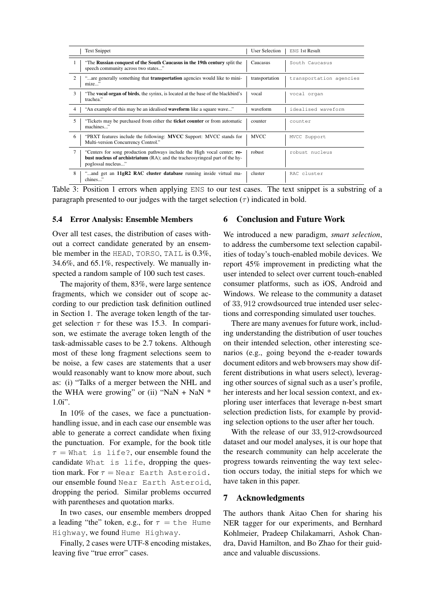| <b>Text Snippet</b>                                                                                                                                                                   | <b>User Selection</b> | <b>ENS 1st Result</b>   |
|---------------------------------------------------------------------------------------------------------------------------------------------------------------------------------------|-----------------------|-------------------------|
| "The Russian conquest of the South Caucasus in the 19th century split the<br>speech community across two states"                                                                      | Caucasus              | South Caucasus          |
| $\mathcal{D}_{\mathcal{L}}$<br>"are generally something that <b>transportation</b> agencies would like to mini-<br>mize"                                                              | transportation        | transportation agencies |
| $\mathcal{F}$<br>"The <b>vocal organ of birds</b> , the syrinx, is located at the base of the blackbird's<br>trachea."                                                                | vocal                 | vocal organ             |
| "An example of this may be an idealised <b>waveform</b> like a square wave"<br>$\overline{4}$                                                                                         | waveform              | idealised waveform      |
| 5<br>Tickets may be purchased from either the <b>ticket counter</b> or from automatic<br>machines"                                                                                    | counter               | counter                 |
| "PBXT features include the following: <b>MVCC</b> Support: MVCC stands for<br>6<br>Multi-version Concurrency Control."                                                                | <b>MVCC</b>           | MVCC Support            |
| "Centers for song production pathways include the High vocal center; ro-<br><b>bust nucleus of archistriatum</b> (RA); and the tracheosyringeal part of the hy-<br>poglossal nucleus" | robust                | robust nucleus          |
| 8<br>"and get an <b>11gR2 RAC cluster database</b> running inside virtual ma-<br>chines"                                                                                              | cluster               | RAC cluster             |

Table 3: Position 1 errors when applying ENS to our test cases. The text snippet is a substring of a paragraph presented to our judges with the target selection  $(\tau)$  indicated in bold.

## 5.4 Error Analysis: Ensemble Members

Over all test cases, the distribution of cases without a correct candidate generated by an ensemble member in the HEAD, TORSO, TAIL is 0.3%, 34.6%, and 65.1%, respectively. We manually inspected a random sample of 100 such test cases.

The majority of them, 83%, were large sentence fragments, which we consider out of scope according to our prediction task definition outlined in Section 1. The average token length of the target selection  $\tau$  for these was 15.3. In comparison, we estimate the average token length of the task-admissable cases to be 2.7 tokens. Although most of these long fragment selections seem to be noise, a few cases are statements that a user would reasonably want to know more about, such as: (i) "Talks of a merger between the NHL and the WHA were growing" or (ii) "NaN + NaN  $*$ 1.0i".

In 10% of the cases, we face a punctuationhandling issue, and in each case our ensemble was able to generate a correct candidate when fixing the punctuation. For example, for the book title  $\tau$  = What is life?, our ensemble found the candidate What is life, dropping the question mark. For  $\tau =$  Near Earth Asteroid. our ensemble found Near Earth Asteroid, dropping the period. Similar problems occurred with parentheses and quotation marks.

In two cases, our ensemble members dropped a leading "the" token, e.g., for  $\tau = \text{the }$  Hume Highway, we found Hume Highway.

Finally, 2 cases were UTF-8 encoding mistakes, leaving five "true error" cases.

## 6 Conclusion and Future Work

We introduced a new paradigm, *smart selection*, to address the cumbersome text selection capabilities of today's touch-enabled mobile devices. We report 45% improvement in predicting what the user intended to select over current touch-enabled consumer platforms, such as iOS, Android and Windows. We release to the community a dataset of 33, 912 crowdsourced true intended user selections and corresponding simulated user touches.

There are many avenues for future work, including understanding the distribution of user touches on their intended selection, other interesting scenarios (e.g., going beyond the e-reader towards document editors and web browsers may show different distributions in what users select), leveraging other sources of signal such as a user's profile, her interests and her local session context, and exploring user interfaces that leverage n-best smart selection prediction lists, for example by providing selection options to the user after her touch.

With the release of our 33, 912-crowdsourced dataset and our model analyses, it is our hope that the research community can help accelerate the progress towards reinventing the way text selection occurs today, the initial steps for which we have taken in this paper.

## 7 Acknowledgments

The authors thank Aitao Chen for sharing his NER tagger for our experiments, and Bernhard Kohlmeier, Pradeep Chilakamarri, Ashok Chandra, David Hamilton, and Bo Zhao for their guidance and valuable discussions.